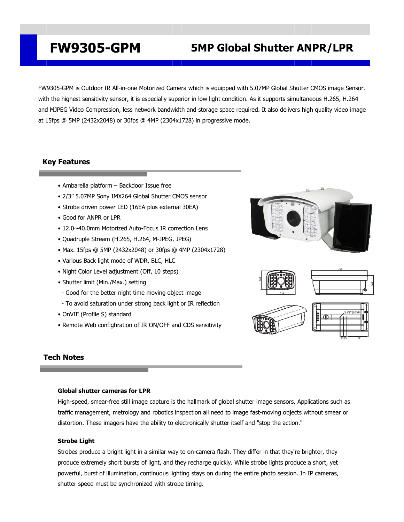## **FW9305-GPM 5MP Global Shutter ANPR/LPR**

FW9305-GPM is Outdoor IR All-in-one Motorized Camera which is equipped with 5.07MP Global Shutter CMOS image Sensor. with the highest sensitivity sensor, it is especially superior in low light condition. As it supports simultaneous H.265, H.264 and MJPEG Video Compression, less network bandwidth and storage space required. It also delivers high quality video image at 15fps @ 5MP (2432x2048) or 30fps @ 4MP (2304x1728) in progressive mode.

## **Key Features**

- Ambarella platform Backdoor Issue free
- 2/3" 5.07MP Sony IMX264 Global Shutter CMOS sensor
- Strobe driven power LED (16EA plus external 30EA)
- Good for ANPR or LPR
- 12.0~40.0mm Motorized Auto-Focus IR correction Lens
- Quadruple Stream (H.265, H.264, M-JPEG, JPEG)
- Max. 15fps @ 5MP (2432x2048) or 30fps @ 4MP (2304x1728)
- Various Back light mode of WDR, BLC, HLC
- Night Color Level adjustment (Off, 10 steps)
- Shutter limit (Min./Max.) setting
- Good for the better night time moving object image
- To avoid saturation under strong back light or IR reflection
- OnVIF (Profile S) standard
- Remote Web confighration of IR ON/OFF and CDS sensitivity









## **Tech Notes**

### **Global shutter cameras for LPR**

High-speed, smear-free still image capture is the hallmark of global shutter image sensors. Applications such as traffic management, metrology and robotics inspection all need to image fast-moving objects without smear or distortion. These imagers have the ability to electronically shutter itself and "stop the action."

### **Strobe Light**

Strobes produce a bright light in a similar way to on-camera flash. They differ in that they're brighter, they produce extremely short bursts of light, and they recharge quickly. While strobe lights produce a short, yet powerful, burst of illumination, [continuous](https://www.bhphotovideo.com/c/browse/continuous-lighting/ci/22521/N/3988592086) lighting stays on during the entire photo session. In IP cameras, shutter speed must be synchronized with strobe timing.